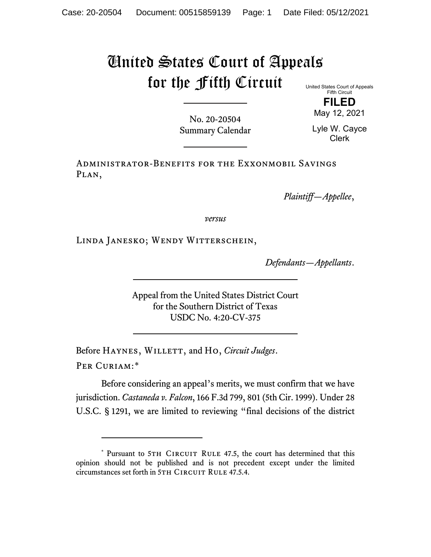## United States Court of Appeals for the Fifth Circuit

United States Court of Appeals Fifth Circuit

> **FILED** May 12, 2021

No. 20-20504 Summary Calendar

Lyle W. Cayce Clerk

Administrator-Benefits for the Exxonmobil Savings PLAN,

*Plaintiff—Appellee*,

*versus*

Linda Janesko; Wendy Witterschein,

*Defendants—Appellants*.

Appeal from the United States District Court for the Southern District of Texas USDC No. 4:20-CV-375

Before HAYNES, WILLETT, and Ho, *Circuit Judges*. Per Curiam:[\\*](#page-0-0)

Before considering an appeal's merits, we must confirm that we have jurisdiction. *Castaneda v. Falcon*, 166 F.3d 799, 801 (5th Cir. 1999). Under 28 U.S.C. § 1291, we are limited to reviewing "final decisions of the district

<span id="page-0-0"></span><sup>\*</sup> Pursuant to 5TH CIRCUIT RULE 47.5, the court has determined that this opinion should not be published and is not precedent except under the limited circumstances set forth in 5TH CIRCUIT RULE 47.5.4.